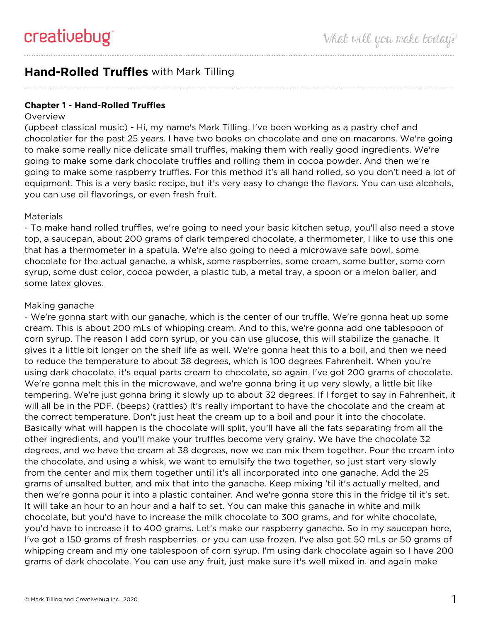# **Hand-Rolled Truffles** with Mark Tilling

**Chapter 1 - Hand-Rolled Truffles**

### **Overview**

(upbeat classical music) - Hi, my name's Mark Tilling. I've been working as a pastry chef and chocolatier for the past 25 years. I have two books on chocolate and one on macarons. We're going to make some really nice delicate small truffles, making them with really good ingredients. We're going to make some dark chocolate truffles and rolling them in cocoa powder. And then we're going to make some raspberry truffles. For this method it's all hand rolled, so you don't need a lot of equipment. This is a very basic recipe, but it's very easy to change the flavors. You can use alcohols, you can use oil flavorings, or even fresh fruit.

### **Materials**

- To make hand rolled truffles, we're going to need your basic kitchen setup, you'll also need a stove top, a saucepan, about 200 grams of dark tempered chocolate, a thermometer, I like to use this one that has a thermometer in a spatula. We're also going to need a microwave safe bowl, some chocolate for the actual ganache, a whisk, some raspberries, some cream, some butter, some corn syrup, some dust color, cocoa powder, a plastic tub, a metal tray, a spoon or a melon baller, and some latex gloves.

## Making ganache

- We're gonna start with our ganache, which is the center of our truffle. We're gonna heat up some cream. This is about 200 mLs of whipping cream. And to this, we're gonna add one tablespoon of corn syrup. The reason I add corn syrup, or you can use glucose, this will stabilize the ganache. It gives it a little bit longer on the shelf life as well. We're gonna heat this to a boil, and then we need to reduce the temperature to about 38 degrees, which is 100 degrees Fahrenheit. When you're using dark chocolate, it's equal parts cream to chocolate, so again, I've got 200 grams of chocolate. We're gonna melt this in the microwave, and we're gonna bring it up very slowly, a little bit like tempering. We're just gonna bring it slowly up to about 32 degrees. If I forget to say in Fahrenheit, it will all be in the PDF. (beeps) (rattles) It's really important to have the chocolate and the cream at the correct temperature. Don't just heat the cream up to a boil and pour it into the chocolate. Basically what will happen is the chocolate will split, you'll have all the fats separating from all the other ingredients, and you'll make your truffles become very grainy. We have the chocolate 32 degrees, and we have the cream at 38 degrees, now we can mix them together. Pour the cream into the chocolate, and using a whisk, we want to emulsify the two together, so just start very slowly from the center and mix them together until it's all incorporated into one ganache. Add the 25 grams of unsalted butter, and mix that into the ganache. Keep mixing 'til it's actually melted, and then we're gonna pour it into a plastic container. And we're gonna store this in the fridge til it's set. It will take an hour to an hour and a half to set. You can make this ganache in white and milk chocolate, but you'd have to increase the milk chocolate to 300 grams, and for white chocolate, you'd have to increase it to 400 grams. Let's make our raspberry ganache. So in my saucepan here, I've got a 150 grams of fresh raspberries, or you can use frozen. I've also got 50 mLs or 50 grams of whipping cream and my one tablespoon of corn syrup. I'm using dark chocolate again so I have 200 grams of dark chocolate. You can use any fruit, just make sure it's well mixed in, and again make